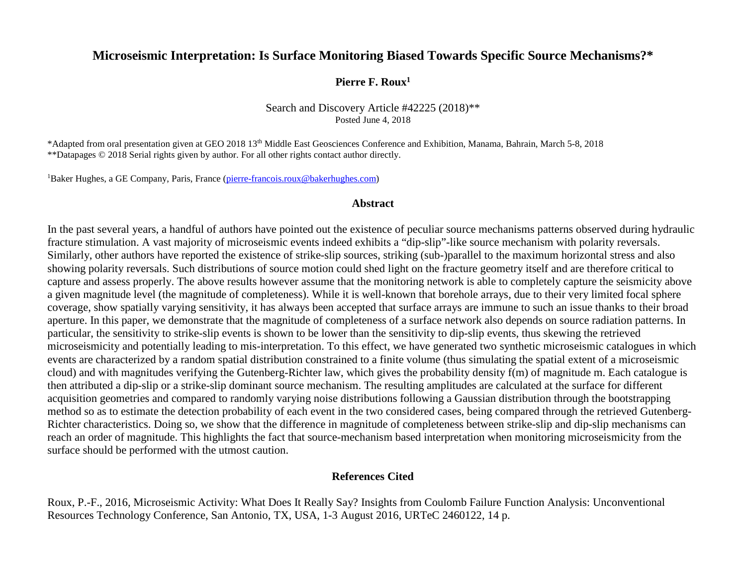#### **Microseismic Interpretation: Is Surface Monitoring Biased Towards Specific Source Mechanisms?\***

**Pierre F. Roux1**

#### Search and Discovery Article #42225 (2018)\*\* Posted June 4, 2018

\*Adapted from oral presentation given at GEO 2018 13th Middle East Geosciences Conference and Exhibition, Manama, Bahrain, March 5-8, 2018 \*\*Datapages © 2018 Serial rights given by author. For all other rights contact author directly.

<sup>1</sup>Baker Hughes, a GE Company, Paris, France (pierre-francois.roux@bakerhughes.com)

#### **Abstract**

In the past several years, a handful of authors have pointed out the existence of peculiar source mechanisms patterns observed during hydraulic fracture stimulation. A vast majority of microseismic events indeed exhibits a "dip-slip"-like source mechanism with polarity reversals. Similarly, other authors have reported the existence of strike-slip sources, striking (sub-)parallel to the maximum horizontal stress and also showing polarity reversals. Such distributions of source motion could shed light on the fracture geometry itself and are therefore critical to capture and assess properly. The above results however assume that the monitoring network is able to completely capture the seismicity above a given magnitude level (the magnitude of completeness). While it is well-known that borehole arrays, due to their very limited focal sphere coverage, show spatially varying sensitivity, it has always been accepted that surface arrays are immune to such an issue thanks to their broad aperture. In this paper, we demonstrate that the magnitude of completeness of a surface network also depends on source radiation patterns. In particular, the sensitivity to strike-slip events is shown to be lower than the sensitivity to dip-slip events, thus skewing the retrieved microseismicity and potentially leading to mis-interpretation. To this effect, we have generated two synthetic microseismic catalogues in which events are characterized by a random spatial distribution constrained to a finite volume (thus simulating the spatial extent of a microseismic cloud) and with magnitudes verifying the Gutenberg-Richter law, which gives the probability density f(m) of magnitude m. Each catalogue is then attributed a dip-slip or a strike-slip dominant source mechanism. The resulting amplitudes are calculated at the surface for different acquisition geometries and compared to randomly varying noise distributions following a Gaussian distribution through the bootstrapping method so as to estimate the detection probability of each event in the two considered cases, being compared through the retrieved Gutenberg-Richter characteristics. Doing so, we show that the difference in magnitude of completeness between strike-slip and dip-slip mechanisms can reach an order of magnitude. This highlights the fact that source-mechanism based interpretation when monitoring microseismicity from the surface should be performed with the utmost caution.

#### **References Cited**

Roux, P.-F., 2016, Microseismic Activity: What Does It Really Say? Insights from Coulomb Failure Function Analysis: Unconventional Resources Technology Conference, San Antonio, TX, USA, 1-3 August 2016, URTeC 2460122, 14 p.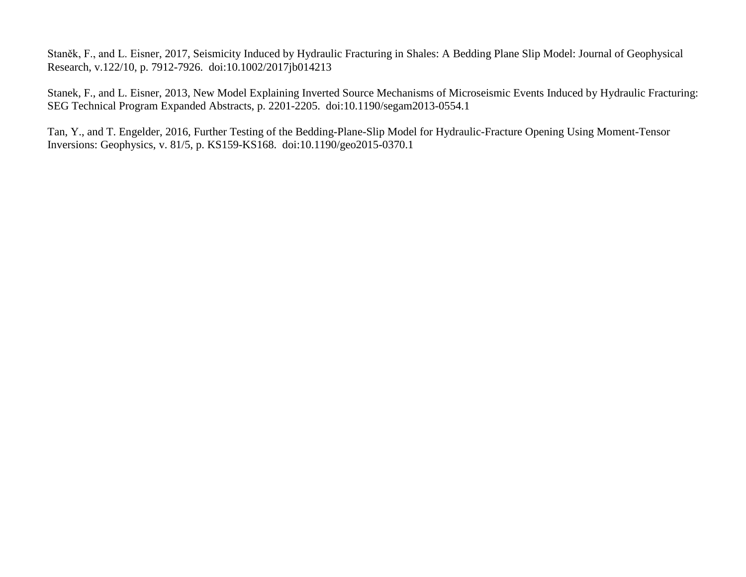Staněk, F., and L. Eisner, 2017, Seismicity Induced by Hydraulic Fracturing in Shales: A Bedding Plane Slip Model: Journal of Geophysical Research, v.122/10, p. 7912-7926. doi:10.1002/2017jb014213

Stanek, F., and L. Eisner, 2013, New Model Explaining Inverted Source Mechanisms of Microseismic Events Induced by Hydraulic Fracturing: SEG Technical Program Expanded Abstracts, p. 2201-2205. doi:10.1190/segam2013-0554.1

Tan, Y., and T. Engelder, 2016, Further Testing of the Bedding-Plane-Slip Model for Hydraulic-Fracture Opening Using Moment-Tensor Inversions: Geophysics, v. 81/5, p. KS159-KS168. doi:10.1190/geo2015-0370.1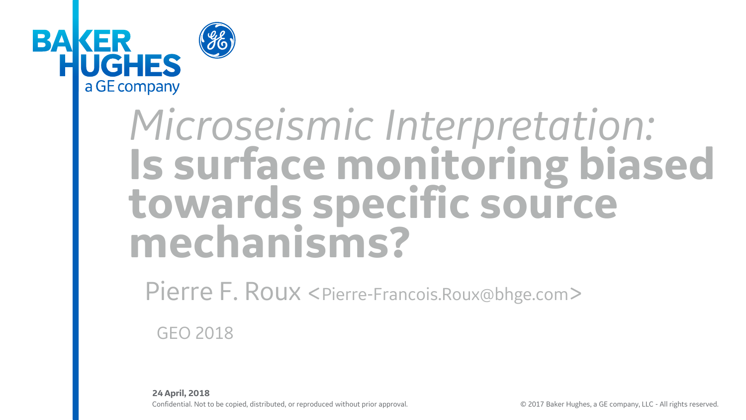

# *Microseismic Interpretation:* **Is surface monitoring biased towards specific source mechanisms?**

Pierre F. Roux <Pierre-Francois.Roux@bhge.com>

GEO 2018

Confidential. Not to be copied, distributed, or reproduced without prior approval. © 2017 Baker Hughes, a GE company, LLC - All rights reserved. **24 April, 2018**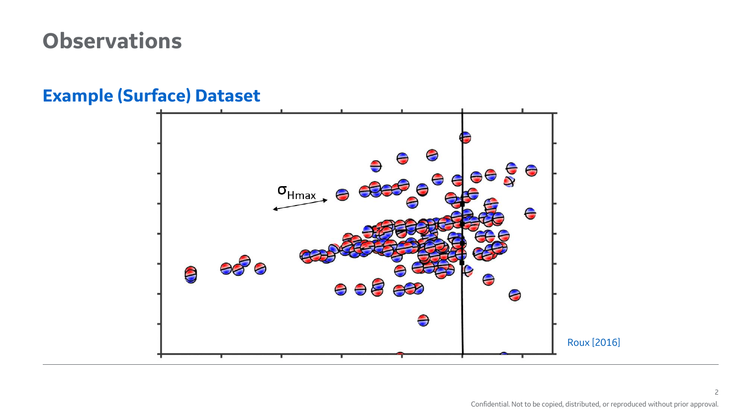### **Observations**

# $\overbrace{C_{\text{Hmax}}}^{\Theta}$  $-550$  $\boldsymbol{\Theta}$ ⊖  $\Theta$  $\bigoplus$ ⊖  $\ominus$ Roux [2016]

#### **Example (Surface) Dataset**

2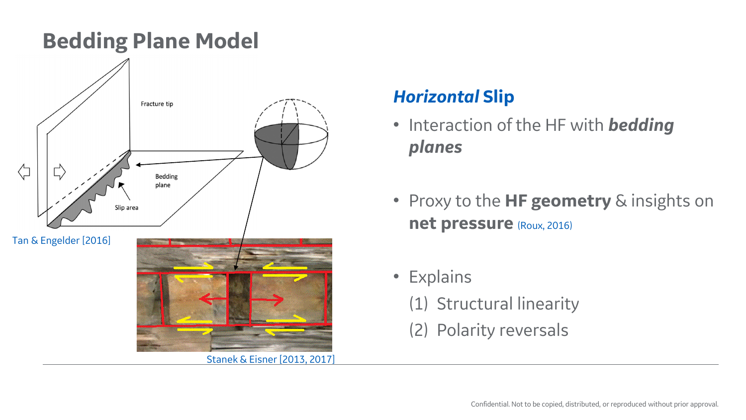

#### *Horizontal* **Slip**

- Interaction of the HF with *bedding planes*
- Proxy to the **HF geometry** & insights on **net pressure** (Roux, 2016)
- Explains
	- (1) Structural linearity
	- (2) Polarity reversals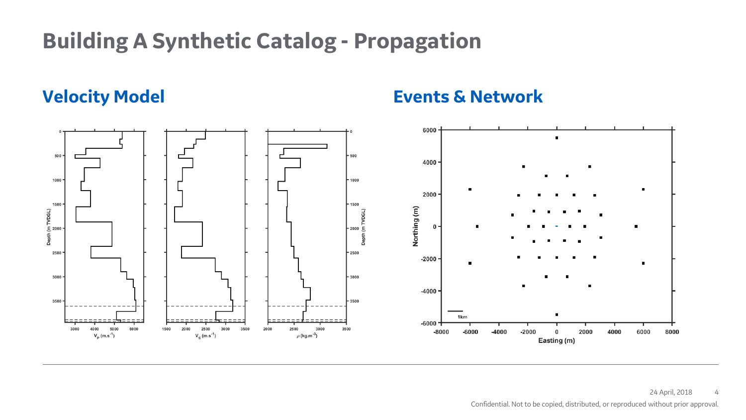# **Building A Synthetic Catalog - Propagation**

**Velocity Model Events & Network**

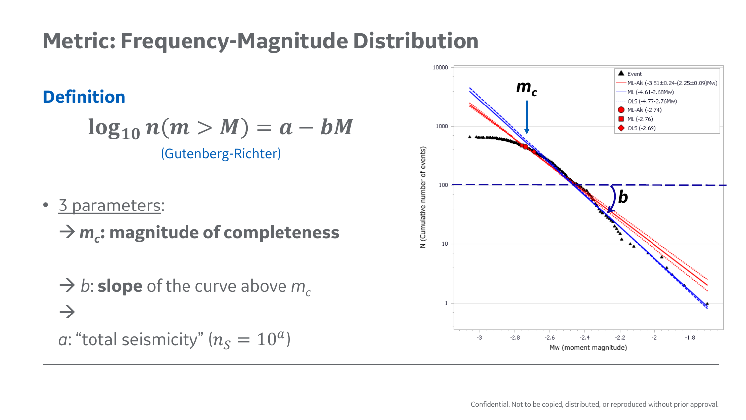# **Metric: Frequency-Magnitude Distribution**

#### **Definition**

 $\log_{10} n(m > M) = a - bM$ (Gutenberg-Richter)

• 3 parameters:

*m<sup>c</sup>* **: magnitude of completeness**

 $\rightarrow$  *b*: **slope** of the curve above  $m_c$  $\rightarrow$ 

*a*: "total seismicity" ( $n_S = 10^a$ )

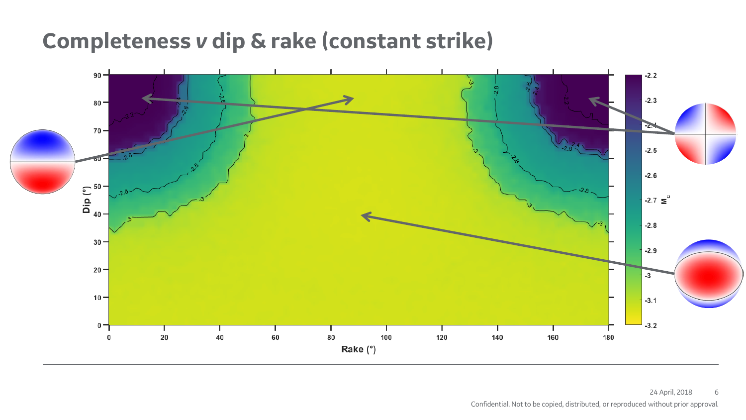### **Completeness** *v* **dip & rake (constant strike)**

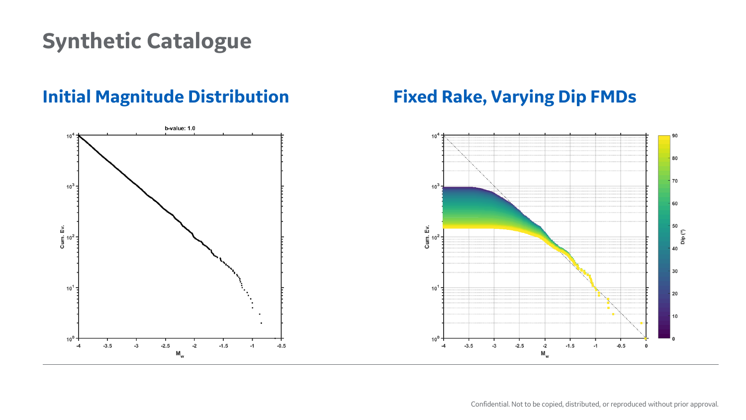## **Synthetic Catalogue**

#### **Initial Magnitude Distribution Fixed Rake, Varying Dip FMDs**

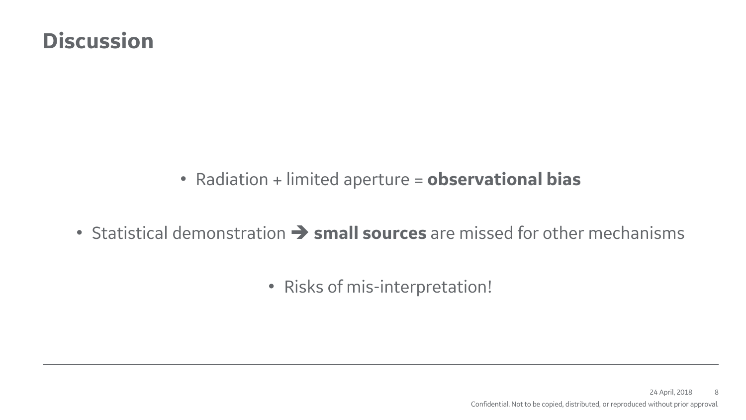### **Discussion**

• Radiation + limited aperture = **observational bias**

- Statistical demonstration  $\rightarrow$  **small sources** are missed for other mechanisms
	- Risks of mis-interpretation!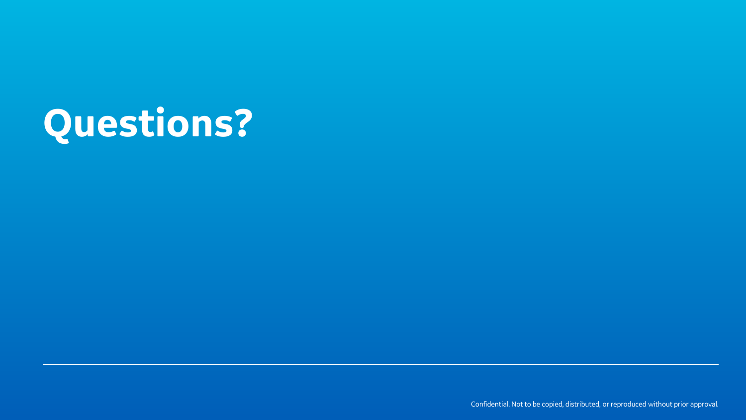# **Questions?**